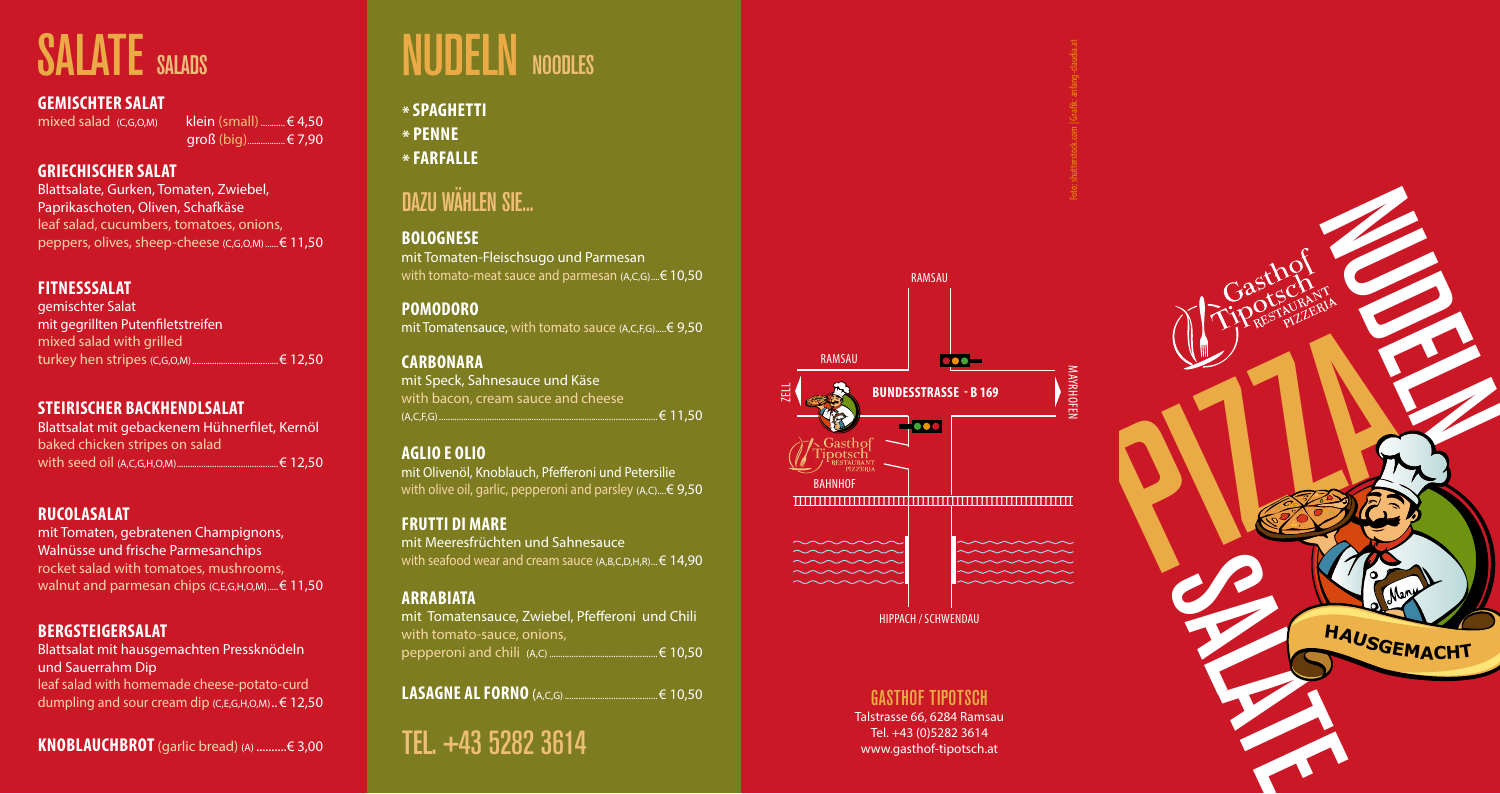

## **\*SPAGHETTI \* PENNE**

**\* FARFALLE**

## **DAZU WÄHLEN SIE...**

### **GASTHOF TIPOTSCH**

Talstrasse 66, 6284 Ramsau Tel. +43 (0)5282 3614 www.gasthof-tipotsch.at

mixed salad  $(C, G, O, M)$  klein (small).............  $\in 4.50$ groß (big).................€ 7,90





### **GEMISCHTER SALAT**

#### **GRIECHISCHER SALAT**

mit Tomaten, gebratenen Champignons, Walnüsse und frische Parmesanchips rocket salad with tomatoes, mushrooms, walnut and parmesan chips (C,E,G,H,O,M).....€ 11,50

Blattsalate, Gurken, Tomaten, Zwiebel, Paprikaschoten, Oliven, Schafkäse leaf salad, cucumbers, tomatoes, onions, peppers, olives, sheep-cheese (C,G,O,M)......€ 11,50

#### **FITNESSSALAT**

mit Tomaten-Fleischsugo und Parmesan with tomato-meat sauce and parmesan (A,C,G)....€ 10,50

gemischter Salat mit gegrillten Putenfiletstreifen mixed salad with grilled turkey hen stripes (C,G,O,M).......................................€ 12,50

#### **STEIRISCHER BACKHENDLSALAT**

mit Olivenöl, Knoblauch, Pfefferoni und Petersilie with olive oil, garlic, pepperoni and parsley  $(A,C)$ ....  $\in$  9,50

Blattsalat mit gebackenem Hühnerfilet, Kernöl baked chicken stripes on salad with seed oil (A,C,G,H,O,M)..............................................€ 12,50

#### **RUCOLASALAT**

#### **BERGSTEIGERSALAT**

Blattsalat mit hausgemachten Pressknödeln und Sauerrahm Dip

leaf salad with homemade cheese-potato-curd dumpling and sour cream dip (C,E,G,H,O,M)..€ 12,50

**KNOBLAUCHBROT**(garlic bread) (A) ..........€ 3,00

# **SALATE** SALADS **NUDELN** NOODLES

#### **BOLOGNESE**

#### **POMODORO**

mit Tomatensauce, with tomato sauce (A,C,F,G).....€ 9,50

#### **CARBONARA**

mit Speck, Sahnesauce und Käse with bacon, cream sauce and cheese (A,C,F,G)...................................................................................................€ 11,50

#### **AGLIO E OLIO**

#### **FRUTTI DI MARE**

mit Meeresfrüchten und Sahnesauce with seafood wear and cream sauce (A,B,C,D,H,R)...€ 14,90

#### **ARRABIATA**

mit Tomatensauce, Zwiebel, Pfefferoni und Chili with tomato-sauce, onions, pepperoni and chili (A,C) .................................................€ 10,50

|--|--|

**TEL. +43 5282 3614**